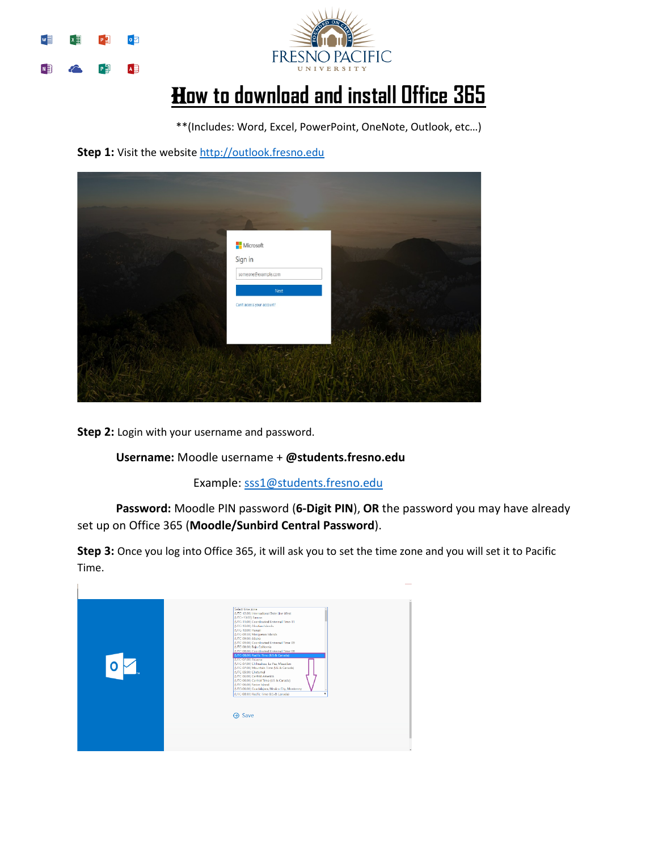



## H**ow to download and install Office 365**

\*\*(Includes: Word, Excel, PowerPoint, OneNote, Outlook, etc…)

Step 1: Visit the website http://outlook.fresno.edu



**Step 2:** Login with your username and password.

## **Username:** Moodle username + **@students.fresno.edu**

Example: [sss1@students.fresno.edu](mailto:sss1@students.fresno.edu)

**Password:** Moodle PIN password (**6-Digit PIN**), **OR** the password you may have already set up on Office 365 (**Moodle/Sunbird Central Password**).

**Step 3:** Once you log into Office 365, it will ask you to set the time zone and you will set it to Pacific Time.

|               | Select time zone<br>(UTC-12:00) International Date Line West<br>(UTC+13:00) Samoa<br>(UTC-11:00) Coordinated Universal Time-11<br>(UTC-10:00) Aleutian Islands<br>(UTC-10:00) Hawaii<br>(UTC-09:30) Marquesas Islands<br>(UTC-09:00) Alaska<br>(UTC-09:00) Coordinated Universal Time-09<br>(UTC-08:00) Baja California<br>(UTC-08:00) Coordinated Universal Time-08<br>(UTC-08:00) Pacific Time (US & Canada)<br>TUTC-07:00 Arizona<br>(UTC-07:00) Chihuahua, La Paz, Mazatlan<br>(UTC-07:00) Mountain Time (US & Canada)<br>(UTC-05:00) Chetumal<br>(UTC-06:00) Central America<br>(UTC-06:00) Central Time (US & Canada)<br>(UTC-06:00) Easter Island<br>(UTC-06:00) Guadalajara, Mexico City, Monterrey<br>(UTC-08:00) Pacific Time (US & Canada) |
|---------------|-------------------------------------------------------------------------------------------------------------------------------------------------------------------------------------------------------------------------------------------------------------------------------------------------------------------------------------------------------------------------------------------------------------------------------------------------------------------------------------------------------------------------------------------------------------------------------------------------------------------------------------------------------------------------------------------------------------------------------------------------------|
| <b>→ Save</b> |                                                                                                                                                                                                                                                                                                                                                                                                                                                                                                                                                                                                                                                                                                                                                       |